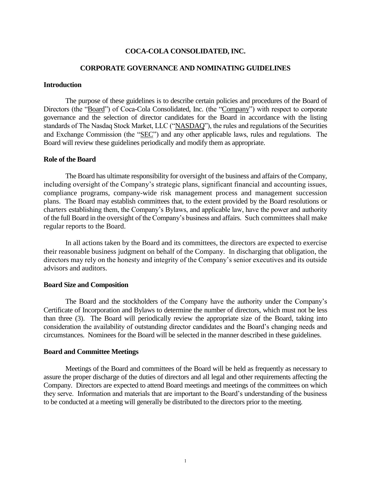## **COCA-COLA CONSOLIDATED, INC.**

## **CORPORATE GOVERNANCE AND NOMINATING GUIDELINES**

### **Introduction**

The purpose of these guidelines is to describe certain policies and procedures of the Board of Directors (the "Board") of Coca-Cola Consolidated, Inc. (the "Company") with respect to corporate governance and the selection of director candidates for the Board in accordance with the listing standards of The Nasdaq Stock Market, LLC ("NASDAQ"), the rules and regulations of the Securities and Exchange Commission (the "SEC") and any other applicable laws, rules and regulations. The Board will review these guidelines periodically and modify them as appropriate.

### **Role of the Board**

The Board has ultimate responsibility for oversight of the business and affairs of the Company, including oversight of the Company's strategic plans, significant financial and accounting issues, compliance programs, company-wide risk management process and management succession plans. The Board may establish committees that, to the extent provided by the Board resolutions or charters establishing them, the Company's Bylaws, and applicable law, have the power and authority of the full Board in the oversight of the Company's business and affairs. Such committees shall make regular reports to the Board.

In all actions taken by the Board and its committees, the directors are expected to exercise their reasonable business judgment on behalf of the Company. In discharging that obligation, the directors may rely on the honesty and integrity of the Company's senior executives and its outside advisors and auditors.

#### **Board Size and Composition**

The Board and the stockholders of the Company have the authority under the Company's Certificate of Incorporation and Bylaws to determine the number of directors, which must not be less than three (3). The Board will periodically review the appropriate size of the Board, taking into consideration the availability of outstanding director candidates and the Board's changing needs and circumstances. Nominees for the Board will be selected in the manner described in these guidelines.

## **Board and Committee Meetings**

Meetings of the Board and committees of the Board will be held as frequently as necessary to assure the proper discharge of the duties of directors and all legal and other requirements affecting the Company. Directors are expected to attend Board meetings and meetings of the committees on which they serve. Information and materials that are important to the Board's understanding of the business to be conducted at a meeting will generally be distributed to the directors prior to the meeting.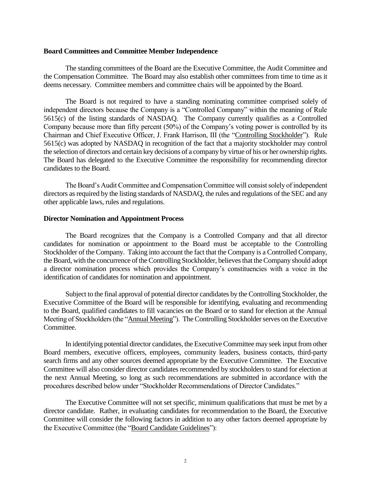#### **Board Committees and Committee Member Independence**

The standing committees of the Board are the Executive Committee, the Audit Committee and the Compensation Committee. The Board may also establish other committees from time to time as it deems necessary. Committee members and committee chairs will be appointed by the Board.

The Board is not required to have a standing nominating committee comprised solely of independent directors because the Company is a "Controlled Company" within the meaning of Rule 5615(c) of the listing standards of NASDAQ. The Company currently qualifies as a Controlled Company because more than fifty percent (50%) of the Company's voting power is controlled by its Chairman and Chief Executive Officer, J. Frank Harrison, III (the "Controlling Stockholder"). Rule 5615(c) was adopted by NASDAQ in recognition of the fact that a majority stockholder may control the selection of directors and certain key decisions of a company by virtue of his or her ownership rights. The Board has delegated to the Executive Committee the responsibility for recommending director candidates to the Board.

The Board's Audit Committee and Compensation Committee will consist solely of independent directors as required by the listing standards of NASDAQ, the rules and regulations of the SEC and any other applicable laws, rules and regulations.

### **Director Nomination and Appointment Process**

The Board recognizes that the Company is a Controlled Company and that all director candidates for nomination or appointment to the Board must be acceptable to the Controlling Stockholder of the Company. Taking into account the fact that the Company is a Controlled Company, the Board, with the concurrence of the Controlling Stockholder, believes that the Company should adopt a director nomination process which provides the Company's constituencies with a voice in the identification of candidates for nomination and appointment.

Subject to the final approval of potential director candidates by the Controlling Stockholder, the Executive Committee of the Board will be responsible for identifying, evaluating and recommending to the Board, qualified candidates to fill vacancies on the Board or to stand for election at the Annual Meeting of Stockholders (the "Annual Meeting"). The Controlling Stockholder serves on the Executive Committee.

In identifying potential director candidates, the Executive Committee may seek input from other Board members, executive officers, employees, community leaders, business contacts, third-party search firms and any other sources deemed appropriate by the Executive Committee. The Executive Committee will also consider director candidates recommended by stockholders to stand for election at the next Annual Meeting, so long as such recommendations are submitted in accordance with the procedures described below under "Stockholder Recommendations of Director Candidates."

The Executive Committee will not set specific, minimum qualifications that must be met by a director candidate. Rather, in evaluating candidates for recommendation to the Board, the Executive Committee will consider the following factors in addition to any other factors deemed appropriate by the Executive Committee (the "Board Candidate Guidelines"):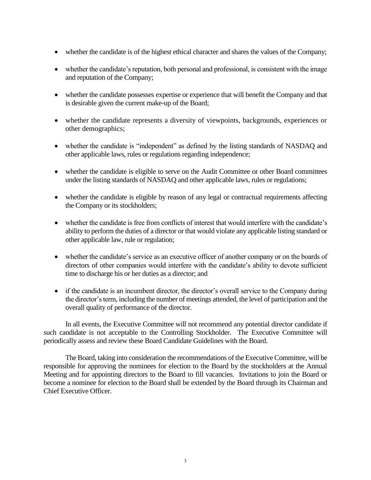- whether the candidate is of the highest ethical character and shares the values of the Company;
- whether the candidate's reputation, both personal and professional, is consistent with the image and reputation of the Company;
- whether the candidate possesses expertise or experience that will benefit the Company and that is desirable given the current make-up of the Board;
- whether the candidate represents a diversity of viewpoints, backgrounds, experiences or other demographics;
- whether the candidate is "independent" as defined by the listing standards of NASDAQ and other applicable laws, rules or regulations regarding independence;
- whether the candidate is eligible to serve on the Audit Committee or other Board committees under the listing standards of NASDAQ and other applicable laws, rules or regulations;
- whether the candidate is eligible by reason of any legal or contractual requirements affecting the Company or its stockholders;
- whether the candidate is free from conflicts of interest that would interfere with the candidate's ability to perform the duties of a director or that would violate any applicable listing standard or other applicable law, rule or regulation;
- whether the candidate's service as an executive officer of another company or on the boards of directors of other companies would interfere with the candidate's ability to devote sufficient time to discharge his or her duties as a director; and
- if the candidate is an incumbent director, the director's overall service to the Company during the director's term, including the number of meetings attended, the level of participation and the overall quality of performance of the director.

In all events, the Executive Committee will not recommend any potential director candidate if such candidate is not acceptable to the Controlling Stockholder. The Executive Committee will periodically assess and review these Board Candidate Guidelines with the Board.

The Board, taking into consideration the recommendations of the Executive Committee, will be responsible for approving the nominees for election to the Board by the stockholders at the Annual Meeting and for appointing directors to the Board to fill vacancies. Invitations to join the Board or become a nominee for election to the Board shall be extended by the Board through its Chairman and Chief Executive Officer.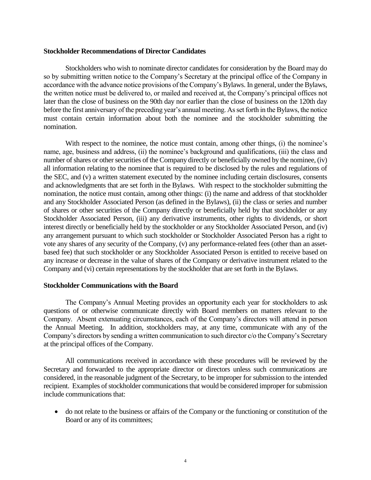#### **Stockholder Recommendations of Director Candidates**

Stockholders who wish to nominate director candidates for consideration by the Board may do so by submitting written notice to the Company's Secretary at the principal office of the Company in accordance with the advance notice provisions of the Company's Bylaws. In general, under the Bylaws, the written notice must be delivered to, or mailed and received at, the Company's principal offices not later than the close of business on the 90th day nor earlier than the close of business on the 120th day before the first anniversary of the preceding year's annual meeting. As set forth in the Bylaws, the notice must contain certain information about both the nominee and the stockholder submitting the nomination.

With respect to the nominee, the notice must contain, among other things, (i) the nominee's name, age, business and address, (ii) the nominee's background and qualifications, (iii) the class and number of shares or other securities of the Company directly or beneficially owned by the nominee, (iv) all information relating to the nominee that is required to be disclosed by the rules and regulations of the SEC, and (v) a written statement executed by the nominee including certain disclosures, consents and acknowledgments that are set forth in the Bylaws. With respect to the stockholder submitting the nomination, the notice must contain, among other things: (i) the name and address of that stockholder and any Stockholder Associated Person (as defined in the Bylaws), (ii) the class or series and number of shares or other securities of the Company directly or beneficially held by that stockholder or any Stockholder Associated Person, (iii) any derivative instruments, other rights to dividends, or short interest directly or beneficially held by the stockholder or any Stockholder Associated Person, and (iv) any arrangement pursuant to which such stockholder or Stockholder Associated Person has a right to vote any shares of any security of the Company, (v) any performance-related fees (other than an assetbased fee) that such stockholder or any Stockholder Associated Person is entitled to receive based on any increase or decrease in the value of shares of the Company or derivative instrument related to the Company and (vi) certain representations by the stockholder that are set forth in the Bylaws.

## **Stockholder Communications with the Board**

The Company's Annual Meeting provides an opportunity each year for stockholders to ask questions of or otherwise communicate directly with Board members on matters relevant to the Company. Absent extenuating circumstances, each of the Company's directors will attend in person the Annual Meeting. In addition, stockholders may, at any time, communicate with any of the Company's directors by sending a written communication to such director c/o the Company's Secretary at the principal offices of the Company.

All communications received in accordance with these procedures will be reviewed by the Secretary and forwarded to the appropriate director or directors unless such communications are considered, in the reasonable judgment of the Secretary, to be improper for submission to the intended recipient. Examples of stockholder communications that would be considered improper for submission include communications that:

• do not relate to the business or affairs of the Company or the functioning or constitution of the Board or any of its committees;